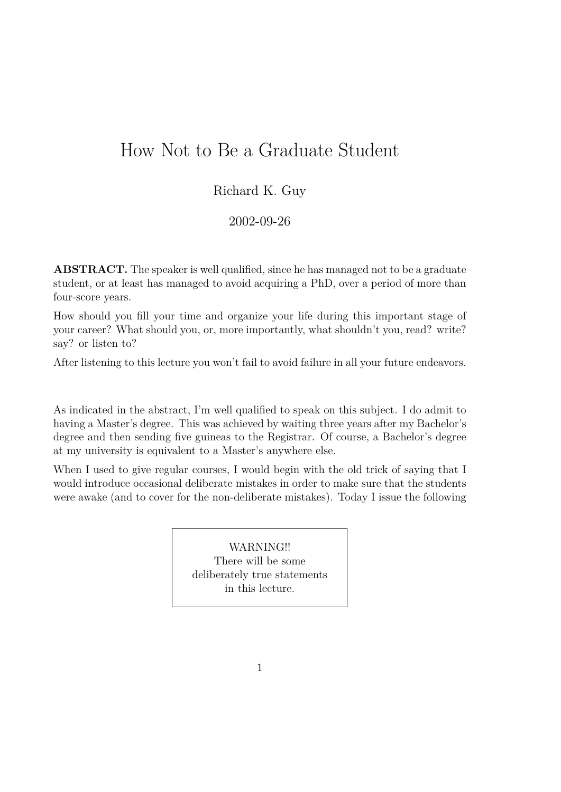# How Not to Be a Graduate Student

## Richard K. Guy

## 2002-09-26

**ABSTRACT.** The speaker is well qualified, since he has managed not to be a graduate student, or at least has managed to avoid acquiring a PhD, over a period of more than four-score years.

How should you fill your time and organize your life during this important stage of your career? What should you, or, more importantly, what shouldn't you, read? write? say? or listen to?

After listening to this lecture you won't fail to avoid failure in all your future endeavors.

As indicated in the abstract, I'm well qualified to speak on this subject. I do admit to having a Master's degree. This was achieved by waiting three years after my Bachelor's degree and then sending five guineas to the Registrar. Of course, a Bachelor's degree at my university is equivalent to a Master's anywhere else.

When I used to give regular courses, I would begin with the old trick of saying that I would introduce occasional deliberate mistakes in order to make sure that the students were awake (and to cover for the non-deliberate mistakes). Today I issue the following

> WARNING!! There will be some deliberately true statements in this lecture.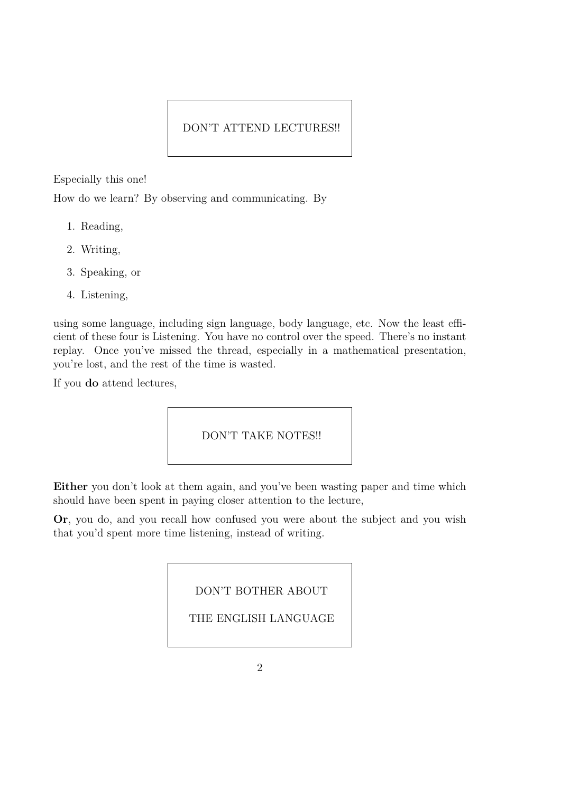### DON'T ATTEND LECTURES!!

Especially this one!

How do we learn? By observing and communicating. By

- 1. Reading,
- 2. Writing,
- 3. Speaking, or
- 4. Listening,

using some language, including sign language, body language, etc. Now the least efficient of these four is Listening. You have no control over the speed. There's no instant replay. Once you've missed the thread, especially in a mathematical presentation, you're lost, and the rest of the time is wasted.

If you **do** attend lectures,

DON'T TAKE NOTES!!

Either you don't look at them again, and you've been wasting paper and time which should have been spent in paying closer attention to the lecture,

**Or**, you do, and you recall how confused you were about the subject and you wish that you'd spent more time listening, instead of writing.

DON'T BOTHER ABOUT

THE ENGLISH LANGUAGE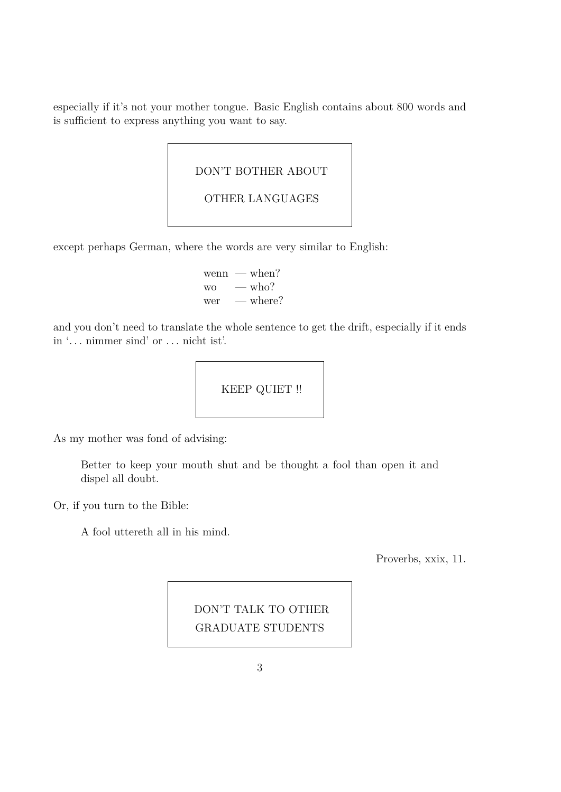especially if it's not your mother tongue. Basic English contains about 800 words and is sufficient to express anything you want to say.

DON'T BOTHER ABOUT

```
OTHER LANGUAGES
```
except perhaps German, where the words are very similar to English:

wenn — when? wo  $-\text{who?}$ wer — where?

and you don't need to translate the whole sentence to get the drift, especially if it ends in '*. . .* nimmer sind' or *. . .* nicht ist'.



As my mother was fond of advising:

Better to keep your mouth shut and be thought a fool than open it and dispel all doubt.

Or, if you turn to the Bible:

A fool uttereth all in his mind.

Proverbs, xxix, 11.

DON'T TALK TO OTHER GRADUATE STUDENTS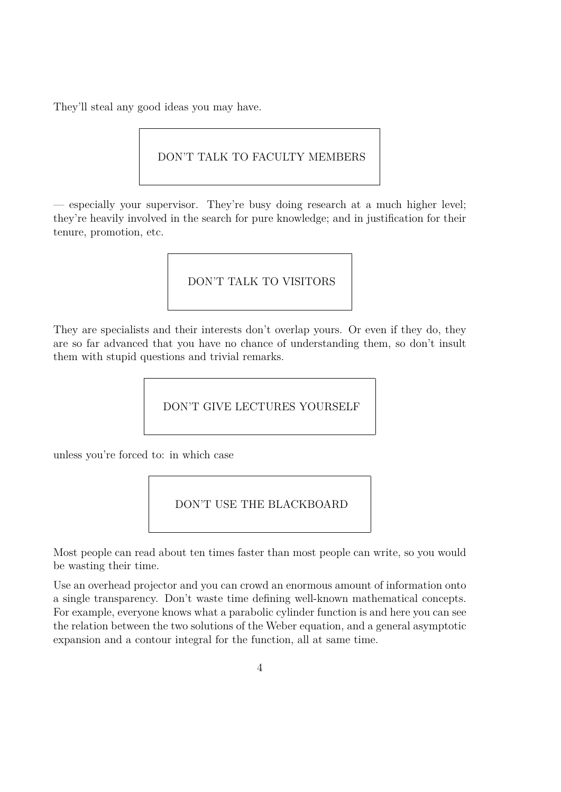They'll steal any good ideas you may have.

## DON'T TALK TO FACULTY MEMBERS

— especially your supervisor. They're busy doing research at a much higher level; they're heavily involved in the search for pure knowledge; and in justification for their tenure, promotion, etc.

DON'T TALK TO VISITORS

They are specialists and their interests don't overlap yours. Or even if they do, they are so far advanced that you have no chance of understanding them, so don't insult them with stupid questions and trivial remarks.

DON'T GIVE LECTURES YOURSELF

unless you're forced to: in which case

DON'T USE THE BLACKBOARD

Most people can read about ten times faster than most people can write, so you would be wasting their time.

Use an overhead projector and you can crowd an enormous amount of information onto a single transparency. Don't waste time defining well-known mathematical concepts. For example, everyone knows what a parabolic cylinder function is and here you can see the relation between the two solutions of the Weber equation, and a general asymptotic expansion and a contour integral for the function, all at same time.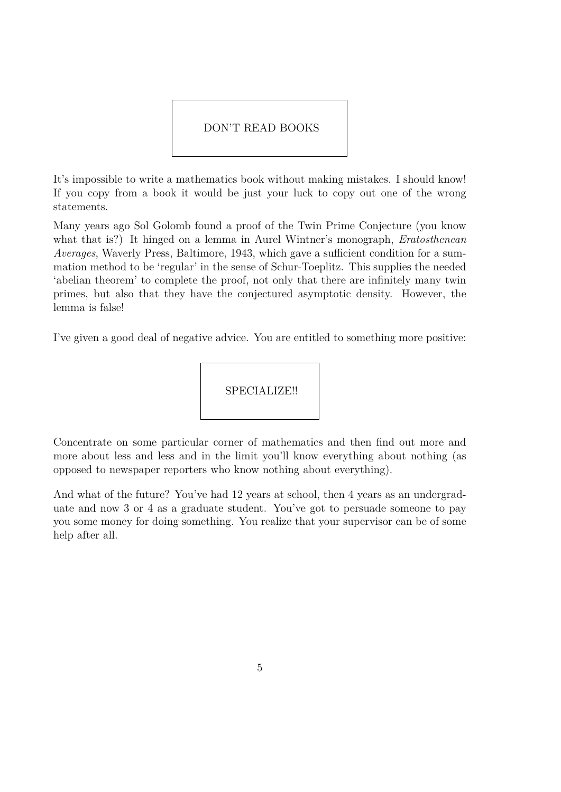#### DON'T READ BOOKS

It's impossible to write a mathematics book without making mistakes. I should know! If you copy from a book it would be just your luck to copy out one of the wrong statements.

Many years ago Sol Golomb found a proof of the Twin Prime Conjecture (you know what that is?) It hinged on a lemma in Aurel Wintner's monograph, *Eratosthenean Averages*, Waverly Press, Baltimore, 1943, which gave a sufficient condition for a summation method to be 'regular' in the sense of Schur-Toeplitz. This supplies the needed 'abelian theorem' to complete the proof, not only that there are infinitely many twin primes, but also that they have the conjectured asymptotic density. However, the lemma is false!

I've given a good deal of negative advice. You are entitled to something more positive:



Concentrate on some particular corner of mathematics and then find out more and more about less and less and in the limit you'll know everything about nothing (as opposed to newspaper reporters who know nothing about everything).

And what of the future? You've had 12 years at school, then 4 years as an undergraduate and now 3 or 4 as a graduate student. You've got to persuade someone to pay you some money for doing something. You realize that your supervisor can be of some help after all.